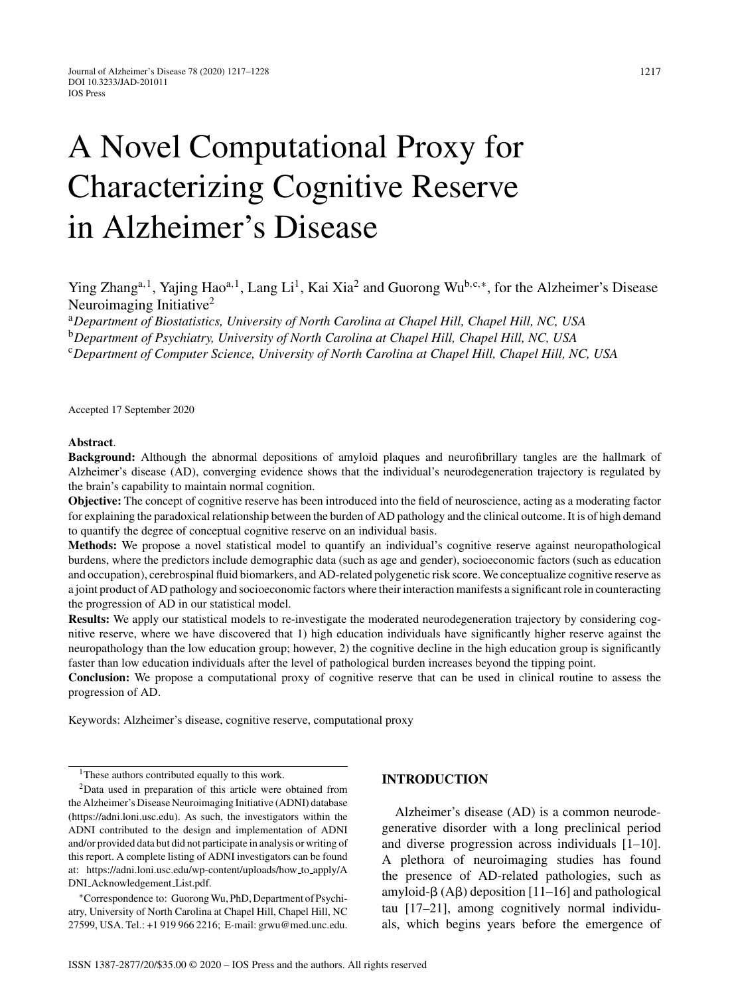# A Novel Computational Proxy for Characterizing Cognitive Reserve in Alzheimer's Disease

Ying Zhang<sup>a,1</sup>, Yajing Hao<sup>a,1</sup>, Lang Li<sup>1</sup>, Kai Xia<sup>2</sup> and Guorong Wu<sup>b,c,∗</sup>, for the Alzheimer's Disease Neuroimaging Initiative2

<sup>a</sup>*Department of Biostatistics, University of North Carolina at Chapel Hill, Chapel Hill, NC, USA* <sup>b</sup>*Department of Psychiatry, University of North Carolina at Chapel Hill, Chapel Hill, NC, USA* <sup>c</sup>*Department of Computer Science, University of North Carolina at Chapel Hill, Chapel Hill, NC, USA*

Accepted 17 September 2020

#### **Abstract**.

**Background:** Although the abnormal depositions of amyloid plaques and neurofibrillary tangles are the hallmark of Alzheimer's disease (AD), converging evidence shows that the individual's neurodegeneration trajectory is regulated by the brain's capability to maintain normal cognition.

**Objective:** The concept of cognitive reserve has been introduced into the field of neuroscience, acting as a moderating factor for explaining the paradoxical relationship between the burden of AD pathology and the clinical outcome. It is of high demand to quantify the degree of conceptual cognitive reserve on an individual basis.

**Methods:** We propose a novel statistical model to quantify an individual's cognitive reserve against neuropathological burdens, where the predictors include demographic data (such as age and gender), socioeconomic factors (such as education and occupation), cerebrospinal fluid biomarkers, and AD-related polygenetic risk score. We conceptualize cognitive reserve as a joint product of AD pathology and socioeconomic factors where their interaction manifests a significant role in counteracting the progression of AD in our statistical model.

**Results:** We apply our statistical models to re-investigate the moderated neurodegeneration trajectory by considering cognitive reserve, where we have discovered that 1) high education individuals have significantly higher reserve against the neuropathology than the low education group; however, 2) the cognitive decline in the high education group is significantly faster than low education individuals after the level of pathological burden increases beyond the tipping point.

**Conclusion:** We propose a computational proxy of cognitive reserve that can be used in clinical routine to assess the progression of AD.

Keywords: Alzheimer's disease, cognitive reserve, computational proxy

<sup>1</sup>These authors contributed equally to this work.

∗Correspondence to: Guorong Wu, PhD, Department of Psychiatry, University of North Carolina at Chapel Hill, Chapel Hill, NC 27599, USA. Tel.: +1 919 966 2216; E-mail: [grwu@med.unc.edu](mailto:grwu@med.unc.edu).

## **INTRODUCTION**

Alzheimer's disease (AD) is a common neurodegenerative disorder with a long preclinical period and diverse progression across individuals [1–10]. A plethora of neuroimaging studies has found the presence of AD-related pathologies, such as amyloid- $\beta$  (A $\beta$ ) deposition [11–16] and pathological tau [17–21], among cognitively normal individuals, which begins years before the emergence of

<sup>2</sup>Data used in preparation of this article were obtained from the Alzheimer's Disease Neuroimaging Initiative (ADNI) database ([https://adni.loni.usc.edu\)](https://adni.loni.usc.edu). As such, the investigators within the ADNI contributed to the design and implementation of ADNI and/or provided data but did not participate in analysis or writing of this report. A complete listing of ADNI investigators can be found at: [https://adni.loni.usc.edu/wp-content/uploads/how](https://adni.loni.usc.edu/wp-content/uploads/how_to_apply/ADNI_Acknowledgement_List.pdf) to apply/A DNI Acknowledgement List.pdf.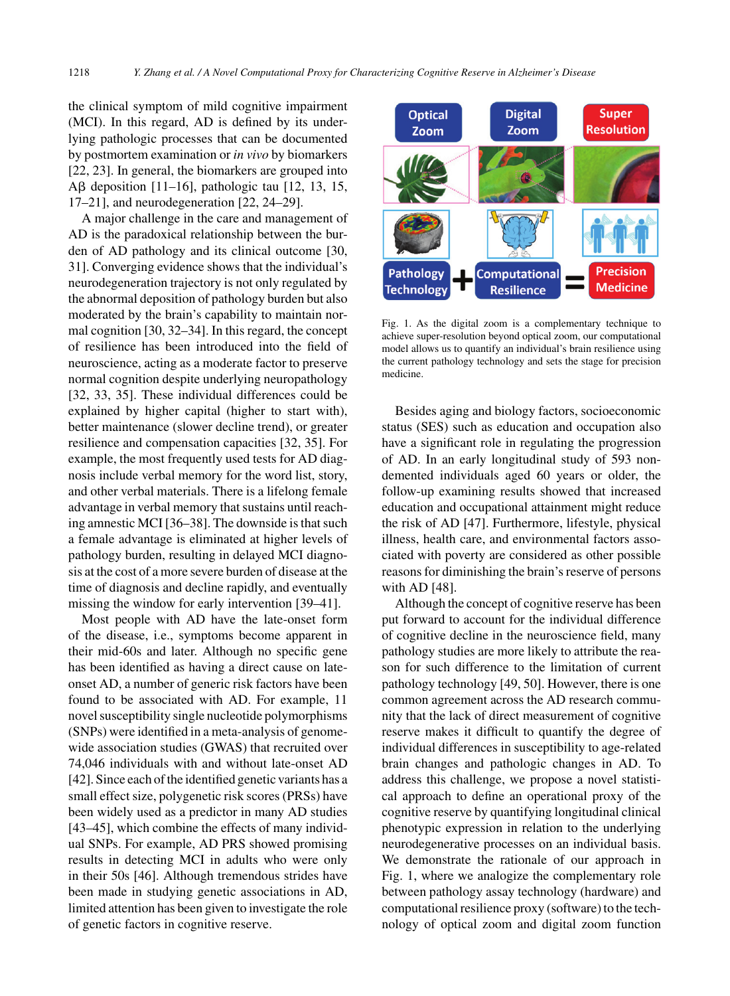the clinical symptom of mild cognitive impairment (MCI). In this regard, AD is defined by its underlying pathologic processes that can be documented by postmortem examination or *in vivo* by biomarkers [22, 23]. In general, the biomarkers are grouped into  $\text{A}\beta$  deposition [11–16], pathologic tau [12, 13, 15, 17–21], and neurodegeneration [22, 24–29].

A major challenge in the care and management of AD is the paradoxical relationship between the burden of AD pathology and its clinical outcome [30, 31]. Converging evidence shows that the individual's neurodegeneration trajectory is not only regulated by the abnormal deposition of pathology burden but also moderated by the brain's capability to maintain normal cognition [30, 32–34]. In this regard, the concept of resilience has been introduced into the field of neuroscience, acting as a moderate factor to preserve normal cognition despite underlying neuropathology [32, 33, 35]. These individual differences could be explained by higher capital (higher to start with), better maintenance (slower decline trend), or greater resilience and compensation capacities [32, 35]. For example, the most frequently used tests for AD diagnosis include verbal memory for the word list, story, and other verbal materials. There is a lifelong female advantage in verbal memory that sustains until reaching amnestic MCI [36–38]. The downside is that such a female advantage is eliminated at higher levels of pathology burden, resulting in delayed MCI diagnosis at the cost of a more severe burden of disease at the time of diagnosis and decline rapidly, and eventually missing the window for early intervention [39–41].

Most people with AD have the late-onset form of the disease, i.e., symptoms become apparent in their mid-60s and later. Although no specific gene has been identified as having a direct cause on lateonset AD, a number of generic risk factors have been found to be associated with AD. For example, 11 novel susceptibility single nucleotide polymorphisms (SNPs) were identified in a meta-analysis of genomewide association studies (GWAS) that recruited over 74,046 individuals with and without late-onset AD [42]. Since each of the identified genetic variants has a small effect size, polygenetic risk scores (PRSs) have been widely used as a predictor in many AD studies [43–45], which combine the effects of many individual SNPs. For example, AD PRS showed promising results in detecting MCI in adults who were only in their 50s [46]. Although tremendous strides have been made in studying genetic associations in AD, limited attention has been given to investigate the role of genetic factors in cognitive reserve.



Fig. 1. As the digital zoom is a complementary technique to achieve super-resolution beyond optical zoom, our computational model allows us to quantify an individual's brain resilience using the current pathology technology and sets the stage for precision medicine.

Besides aging and biology factors, socioeconomic status (SES) such as education and occupation also have a significant role in regulating the progression of AD. In an early longitudinal study of 593 nondemented individuals aged 60 years or older, the follow-up examining results showed that increased education and occupational attainment might reduce the risk of AD [47]. Furthermore, lifestyle, physical illness, health care, and environmental factors associated with poverty are considered as other possible reasons for diminishing the brain's reserve of persons with AD [48].

Although the concept of cognitive reserve has been put forward to account for the individual difference of cognitive decline in the neuroscience field, many pathology studies are more likely to attribute the reason for such difference to the limitation of current pathology technology [49, 50]. However, there is one common agreement across the AD research community that the lack of direct measurement of cognitive reserve makes it difficult to quantify the degree of individual differences in susceptibility to age-related brain changes and pathologic changes in AD. To address this challenge, we propose a novel statistical approach to define an operational proxy of the cognitive reserve by quantifying longitudinal clinical phenotypic expression in relation to the underlying neurodegenerative processes on an individual basis. We demonstrate the rationale of our approach in Fig. 1, where we analogize the complementary role between pathology assay technology (hardware) and computational resilience proxy (software) to the technology of optical zoom and digital zoom function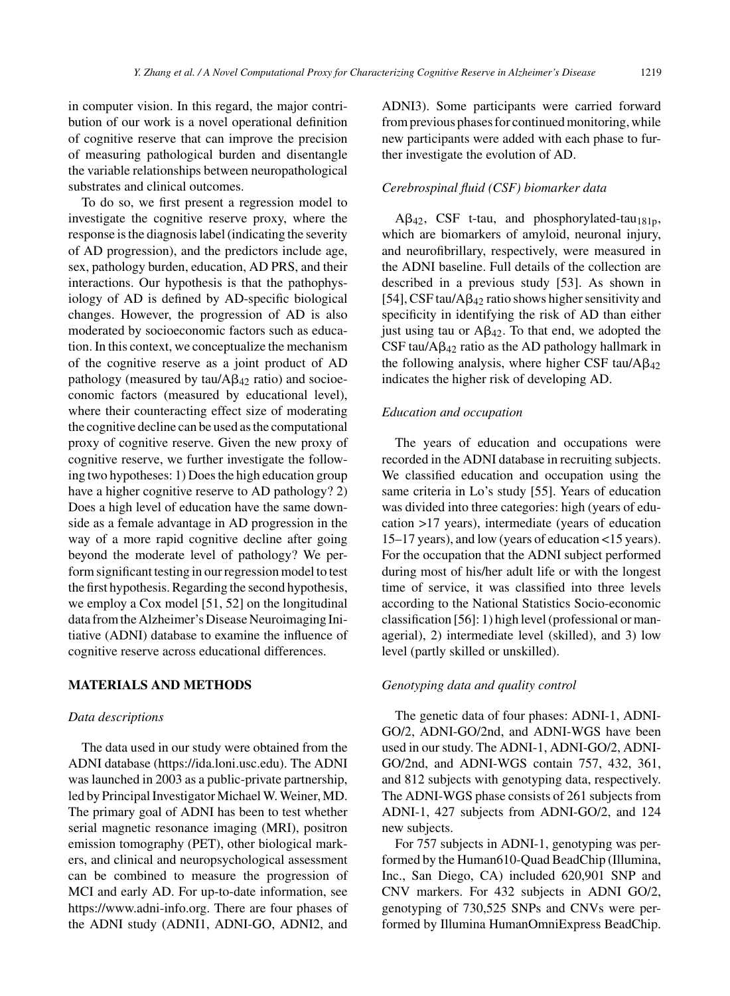in computer vision. In this regard, the major contribution of our work is a novel operational definition of cognitive reserve that can improve the precision of measuring pathological burden and disentangle the variable relationships between neuropathological substrates and clinical outcomes.

To do so, we first present a regression model to investigate the cognitive reserve proxy, where the response is the diagnosis label (indicating the severity of AD progression), and the predictors include age, sex, pathology burden, education, AD PRS, and their interactions. Our hypothesis is that the pathophysiology of AD is defined by AD-specific biological changes. However, the progression of AD is also moderated by socioeconomic factors such as education. In this context, we conceptualize the mechanism of the cognitive reserve as a joint product of AD pathology (measured by  $tau/Ag_{42}$  ratio) and socioeconomic factors (measured by educational level), where their counteracting effect size of moderating the cognitive decline can be used as the computational proxy of cognitive reserve. Given the new proxy of cognitive reserve, we further investigate the following two hypotheses: 1) Does the high education group have a higher cognitive reserve to AD pathology? 2) Does a high level of education have the same downside as a female advantage in AD progression in the way of a more rapid cognitive decline after going beyond the moderate level of pathology? We perform significant testing in our regression model to test the first hypothesis. Regarding the second hypothesis, we employ a Cox model [51, 52] on the longitudinal data from the Alzheimer's Disease Neuroimaging Initiative (ADNI) database to examine the influence of cognitive reserve across educational differences.

## **MATERIALS AND METHODS**

#### *Data descriptions*

The data used in our study were obtained from the ADNI database [\(https://ida.loni.usc.edu\)](https://ida.loni.usc.edu). The ADNI was launched in 2003 as a public-private partnership, led by Principal Investigator Michael W. Weiner, MD. The primary goal of ADNI has been to test whether serial magnetic resonance imaging (MRI), positron emission tomography (PET), other biological markers, and clinical and neuropsychological assessment can be combined to measure the progression of MCI and early AD. For up-to-date information, see <https://www.adni-info.org>. There are four phases of the ADNI study (ADNI1, ADNI-GO, ADNI2, and

ADNI3). Some participants were carried forward from previous phases for continued monitoring, while new participants were added with each phase to further investigate the evolution of AD.

## *Cerebrospinal fluid (CSF) biomarker data*

 $\text{A}\beta_{42}$ , CSF t-tau, and phosphorylated-tau<sub>181p</sub>, which are biomarkers of amyloid, neuronal injury, and neurofibrillary, respectively, were measured in the ADNI baseline. Full details of the collection are described in a previous study [53]. As shown in [54], CSF tau/A $\beta_{42}$  ratio shows higher sensitivity and specificity in identifying the risk of AD than either just using tau or  $A\beta_{42}$ . To that end, we adopted the CSF tau/ $A\beta_{42}$  ratio as the AD pathology hallmark in the following analysis, where higher CSF tau/ $A\beta_{42}$ indicates the higher risk of developing AD.

## *Education and occupation*

The years of education and occupations were recorded in the ADNI database in recruiting subjects. We classified education and occupation using the same criteria in Lo's study [55]. Years of education was divided into three categories: high (years of education >17 years), intermediate (years of education 15–17 years), and low (years of education <15 years). For the occupation that the ADNI subject performed during most of his/her adult life or with the longest time of service, it was classified into three levels according to the National Statistics Socio-economic classification [56]: 1) high level (professional or managerial), 2) intermediate level (skilled), and 3) low level (partly skilled or unskilled).

#### *Genotyping data and quality control*

The genetic data of four phases: ADNI-1, ADNI-GO/2, ADNI-GO/2nd, and ADNI-WGS have been used in our study. The ADNI-1, ADNI-GO/2, ADNI-GO/2nd, and ADNI-WGS contain 757, 432, 361, and 812 subjects with genotyping data, respectively. The ADNI-WGS phase consists of 261 subjects from ADNI-1, 427 subjects from ADNI-GO/2, and 124 new subjects.

For 757 subjects in ADNI-1, genotyping was performed by the Human610-Quad BeadChip (Illumina, Inc., San Diego, CA) included 620,901 SNP and CNV markers. For 432 subjects in ADNI GO/2, genotyping of 730,525 SNPs and CNVs were performed by Illumina HumanOmniExpress BeadChip.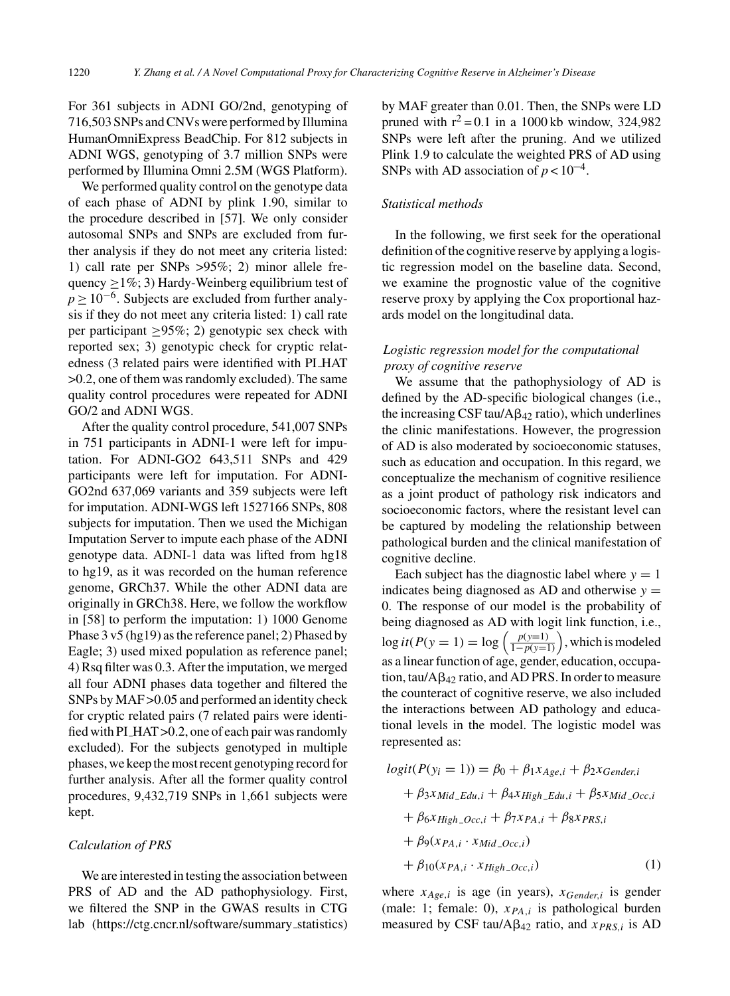For 361 subjects in ADNI GO/2nd, genotyping of 716,503 SNPs and CNVs were performed by Illumina HumanOmniExpress BeadChip. For 812 subjects in ADNI WGS, genotyping of 3.7 million SNPs were performed by Illumina Omni 2.5M (WGS Platform).

We performed quality control on the genotype data of each phase of ADNI by plink 1.90, similar to the procedure described in [57]. We only consider autosomal SNPs and SNPs are excluded from further analysis if they do not meet any criteria listed: 1) call rate per SNPs >95%; 2) minor allele frequency  $\geq$ 1%; 3) Hardy-Weinberg equilibrium test of  $p > 10^{-6}$ . Subjects are excluded from further analysis if they do not meet any criteria listed: 1) call rate per participant  $\geq 95\%$ ; 2) genotypic sex check with reported sex; 3) genotypic check for cryptic relatedness (3 related pairs were identified with PI HAT >0.2, one of them was randomly excluded). The same quality control procedures were repeated for ADNI GO/2 and ADNI WGS.

After the quality control procedure, 541,007 SNPs in 751 participants in ADNI-1 were left for imputation. For ADNI-GO2 643,511 SNPs and 429 participants were left for imputation. For ADNI-GO2nd 637,069 variants and 359 subjects were left for imputation. ADNI-WGS left 1527166 SNPs, 808 subjects for imputation. Then we used the Michigan Imputation Server to impute each phase of the ADNI genotype data. ADNI-1 data was lifted from hg18 to hg19, as it was recorded on the human reference genome, GRCh37. While the other ADNI data are originally in GRCh38. Here, we follow the workflow in [58] to perform the imputation: 1) 1000 Genome Phase 3 v5 (hg19) as the reference panel; 2) Phased by Eagle; 3) used mixed population as reference panel; 4) Rsq filter was 0.3. After the imputation, we merged all four ADNI phases data together and filtered the SNPs by MAF >0.05 and performed an identity check for cryptic related pairs (7 related pairs were identified with PI HAT >0.2, one of each pair was randomly excluded). For the subjects genotyped in multiple phases, we keep the most recent genotyping record for further analysis. After all the former quality control procedures, 9,432,719 SNPs in 1,661 subjects were kept.

#### *Calculation of PRS*

We are interested in testing the association between PRS of AD and the AD pathophysiology. First, we filtered the SNP in the GWAS results in CTG lab [\(https://ctg.cncr.nl/software/summary](https://ctg.cncr.nl/software/summary_statistics) statistics) by MAF greater than 0.01. Then, the SNPs were LD pruned with  $r^2 = 0.1$  in a 1000 kb window, 324,982 SNPs were left after the pruning. And we utilized Plink 1.9 to calculate the weighted PRS of AD using SNPs with AD association of  $p < 10^{-4}$ .

## *Statistical methods*

In the following, we first seek for the operational definition of the cognitive reserve by applying a logistic regression model on the baseline data. Second, we examine the prognostic value of the cognitive reserve proxy by applying the Cox proportional hazards model on the longitudinal data.

# *Logistic regression model for the computational proxy of cognitive reserve*

We assume that the pathophysiology of AD is defined by the AD-specific biological changes (i.e., the increasing CSF tau/ $A\beta_{42}$  ratio), which underlines the clinic manifestations. However, the progression of AD is also moderated by socioeconomic statuses, such as education and occupation. In this regard, we conceptualize the mechanism of cognitive resilience as a joint product of pathology risk indicators and socioeconomic factors, where the resistant level can be captured by modeling the relationship between pathological burden and the clinical manifestation of cognitive decline.

Each subject has the diagnostic label where  $y = 1$ indicates being diagnosed as AD and otherwise  $y =$ 0. The response of our model is the probability of being diagnosed as AD with logit link function, i.e.,  $log it(P(y = 1) = log\left(\frac{p(y=1)}{1-p(y=1)}\right)$ , which is modeled as a linear function of age, gender, education, occupation, tau/ $A\beta_{42}$  ratio, and AD PRS. In order to measure the counteract of cognitive reserve, we also included the interactions between AD pathology and educational levels in the model. The logistic model was represented as:

$$
logit(P(y_i = 1)) = \beta_0 + \beta_1 x_{Age,i} + \beta_2 x_{Gender,i}
$$
  
+  $\beta_3 x_{Mid\_Edu,i} + \beta_4 x_{High\_Edu,i} + \beta_5 x_{Mid\_Occ,i}$   
+  $\beta_6 x_{High\_Occ,i} + \beta_7 x_{PA,i} + \beta_8 x_{PRS,i}$   
+  $\beta_9 (x_{PA,i} \cdot x_{Mid\_Occ,i})$  (1)

where  $x_{Age,i}$  is age (in years),  $x_{Gender,i}$  is gender (male: 1; female: 0), *xPA,i* is pathological burden measured by CSF tau/A $\beta_{42}$  ratio, and  $x_{PRS,i}$  is AD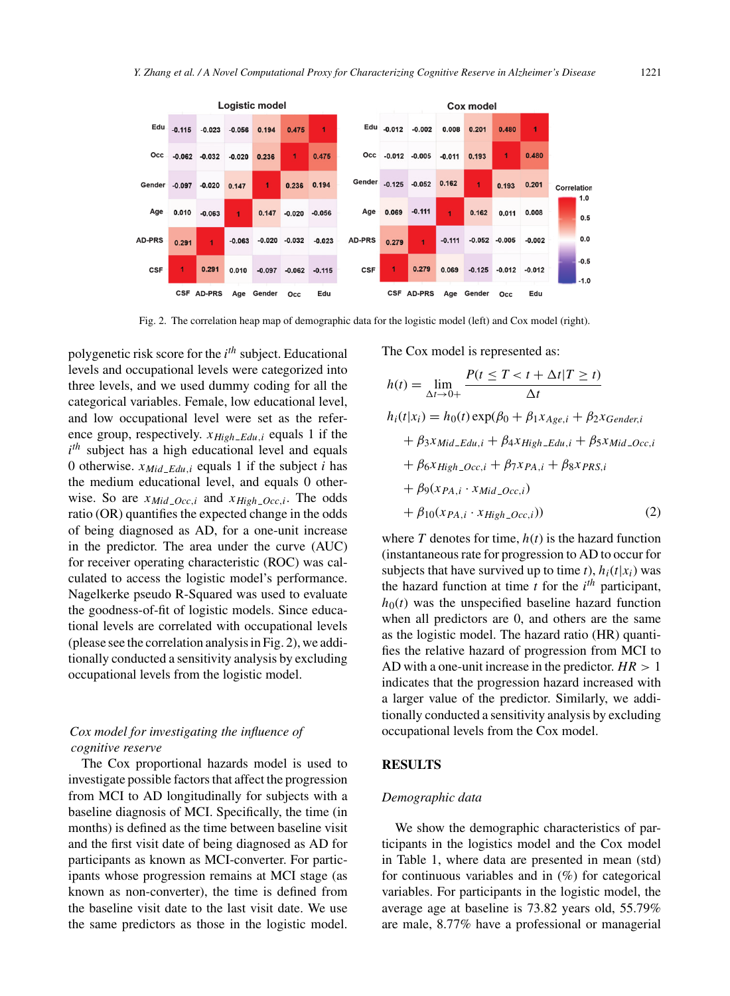

Fig. 2. The correlation heap map of demographic data for the logistic model (left) and Cox model (right).

polygenetic risk score for the *i th* subject. Educational levels and occupational levels were categorized into three levels, and we used dummy coding for all the categorical variables. Female, low educational level, and low occupational level were set as the reference group, respectively.  $x_{High\_Edu,i}$  equals 1 if the  $i<sup>th</sup>$  subject has a high educational level and equals 0 otherwise.  $x_{Mid\_Edu,i}$  equals 1 if the subject *i* has the medium educational level, and equals 0 otherwise. So are  $x_{Mid\_Occ,i}$  and  $x_{High\_Occ,i}$ . The odds ratio (OR) quantifies the expected change in the odds of being diagnosed as AD, for a one-unit increase in the predictor. The area under the curve (AUC) for receiver operating characteristic (ROC) was calculated to access the logistic model's performance. Nagelkerke pseudo R-Squared was used to evaluate the goodness-of-fit of logistic models. Since educational levels are correlated with occupational levels (please see the correlation analysis in Fig. 2), we additionally conducted a sensitivity analysis by excluding occupational levels from the logistic model.

# *Cox model for investigating the influence of cognitive reserve*

The Cox proportional hazards model is used to investigate possible factors that affect the progression from MCI to AD longitudinally for subjects with a baseline diagnosis of MCI. Specifically, the time (in months) is defined as the time between baseline visit and the first visit date of being diagnosed as AD for participants as known as MCI-converter. For participants whose progression remains at MCI stage (as known as non-converter), the time is defined from the baseline visit date to the last visit date. We use the same predictors as those in the logistic model. The Cox model is represented as:

$$
h(t) = \lim_{\Delta t \to 0+} \frac{P(t \le T < t + \Delta t | T \ge t)}{\Delta t}
$$
  
\n
$$
h_i(t|x_i) = h_0(t) \exp(\beta_0 + \beta_1 x_{Age,i} + \beta_2 x_{Gender,i} + \beta_3 x_{Mid\_Edu,i} + \beta_4 x_{High\_Edu,i} + \beta_5 x_{Mid\_Occ,i} + \beta_6 x_{High\_Occ,i} + \beta_7 x_{PA,i} + \beta_8 x_{PRS,i} + \beta_9 (x_{PA,i} \cdot x_{Mid\_Occ,i}) + \beta_{10} (x_{PA,i} \cdot x_{High\_Occ,i})) \tag{2}
$$

where  $T$  denotes for time,  $h(t)$  is the hazard function (instantaneous rate for progression to AD to occur for subjects that have survived up to time *t*),  $h_i(t|x_i)$  was the hazard function at time  $t$  for the  $i<sup>th</sup>$  participant,  $h_0(t)$  was the unspecified baseline hazard function when all predictors are 0, and others are the same as the logistic model. The hazard ratio (HR) quantifies the relative hazard of progression from MCI to AD with a one-unit increase in the predictor. *HR >* 1 indicates that the progression hazard increased with a larger value of the predictor. Similarly, we additionally conducted a sensitivity analysis by excluding occupational levels from the Cox model.

#### **RESULTS**

#### *Demographic data*

We show the demographic characteristics of participants in the logistics model and the Cox model in Table 1, where data are presented in mean (std) for continuous variables and in  $(\%)$  for categorical variables. For participants in the logistic model, the average age at baseline is 73.82 years old, 55.79% are male, 8.77% have a professional or managerial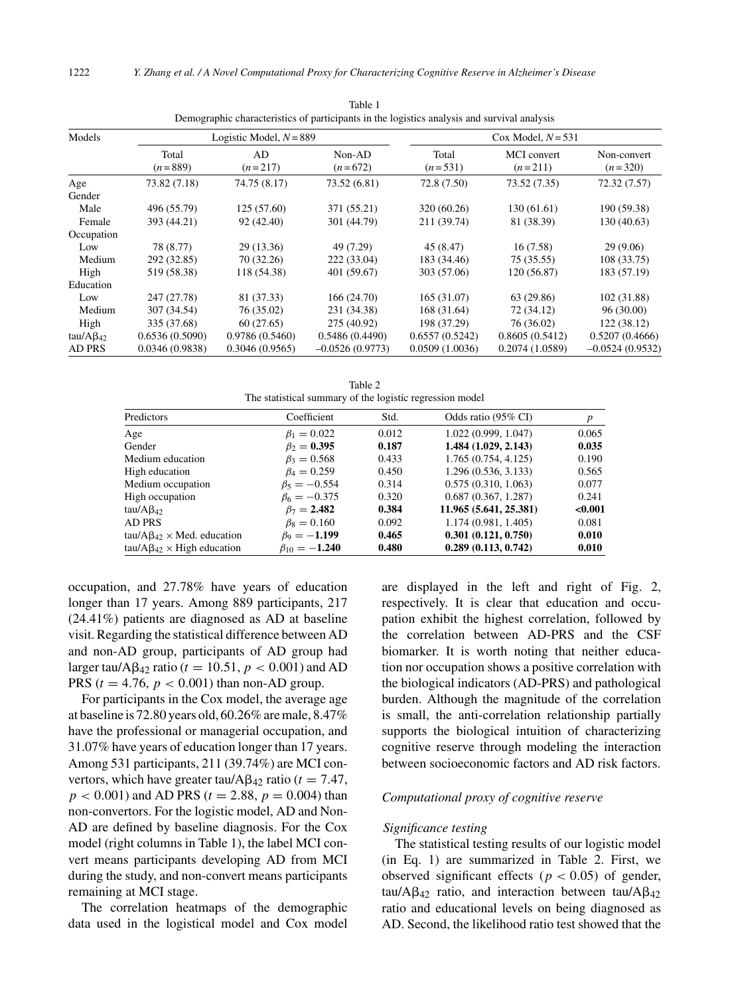| Models             | Logistic Model, $N = 889$ |                 |                     | Cox Model, $N = 531$ |                          |                          |  |
|--------------------|---------------------------|-----------------|---------------------|----------------------|--------------------------|--------------------------|--|
|                    | Total<br>$(n=889)$        | AD<br>$(n=217)$ | Non-AD<br>$(n=672)$ | Total<br>$(n=531)$   | MCI convert<br>$(n=211)$ | Non-convert<br>$(n=320)$ |  |
| Age                | 73.82 (7.18)              | 74.75 (8.17)    | 73.52 (6.81)        | 72.8 (7.50)          | 73.52(7.35)              | 72.32(7.57)              |  |
| Gender             |                           |                 |                     |                      |                          |                          |  |
| Male               | 496 (55.79)               | 125(57.60)      | 371 (55.21)         | 320 (60.26)          | 130(61.61)               | 190 (59.38)              |  |
| Female             | 393 (44.21)               | 92 (42.40)      | 301 (44.79)         | 211 (39.74)          | 81 (38.39)               | 130(40.63)               |  |
| Occupation         |                           |                 |                     |                      |                          |                          |  |
| Low                | 78 (8.77)                 | 29 (13.36)      | 49 (7.29)           | 45 (8.47)            | 16(7.58)                 | 29(9.06)                 |  |
| Medium             | 292 (32.85)               | 70 (32.26)      | 222 (33.04)         | 183 (34.46)          | 75 (35.55)               | 108 (33.75)              |  |
| High               | 519 (58.38)               | 118 (54.38)     | 401 (59.67)         | 303 (57.06)          | 120(56.87)               | 183 (57.19)              |  |
| Education          |                           |                 |                     |                      |                          |                          |  |
| Low                | 247 (27.78)               | 81 (37.33)      | 166(24.70)          | 165(31.07)           | 63 (29.86)               | 102 (31.88)              |  |
| Medium             | 307 (34.54)               | 76 (35.02)      | 231 (34.38)         | 168 (31.64)          | 72 (34.12)               | 96(30.00)                |  |
| High               | 335 (37.68)               | 60(27.65)       | 275 (40.92)         | 198 (37.29)          | 76 (36.02)               | 122(38.12)               |  |
| tau/A $\beta_{42}$ | 0.6536(0.5090)            | 0.9786(0.5460)  | 0.5486(0.4490)      | 0.6557(0.5242)       | 0.8605(0.5412)           | 0.5207(0.4666)           |  |
| <b>AD PRS</b>      | 0.0346(0.9838)            | 0.3046(0.9565)  | $-0.0526(0.9773)$   | 0.0509(1.0036)       | 0.2074(1.0589)           | $-0.0524(0.9532)$        |  |

Table 1 Demographic characteristics of participants in the logistics analysis and survival analysis

Table 2 The statistical summary of the logistic regression model

|                                          | The statistical summary of the logistic regression model |       |                        |         |
|------------------------------------------|----------------------------------------------------------|-------|------------------------|---------|
| Predictors                               | Coefficient                                              | Std.  | Odds ratio (95% CI)    | p       |
| Age                                      | $\beta_1 = 0.022$                                        | 0.012 | 1.022(0.999, 1.047)    | 0.065   |
| Gender                                   | $\beta_2 = 0.395$                                        | 0.187 | 1.484 (1.029, 2.143)   | 0.035   |
| Medium education                         | $\beta_3 = 0.568$                                        | 0.433 | 1.765(0.754, 4.125)    | 0.190   |
| High education                           | $\beta_4 = 0.259$                                        | 0.450 | 1.296 (0.536, 3.133)   | 0.565   |
| Medium occupation                        | $\beta_5 = -0.554$                                       | 0.314 | 0.575(0.310, 1.063)    | 0.077   |
| High occupation                          | $\beta_6 = -0.375$                                       | 0.320 | 0.687(0.367, 1.287)    | 0.241   |
| tau/A $\beta_{42}$                       | $\beta_7 = 2.482$                                        | 0.384 | 11.965 (5.641, 25.381) | < 0.001 |
| AD PRS                                   | $\beta$ <sub>8</sub> = 0.160                             | 0.092 | 1.174 (0.981, 1.405)   | 0.081   |
| tau/A $\beta_{42} \times$ Med. education | $\beta_9 = -1.199$                                       | 0.465 | 0.301(0.121, 0.750)    | 0.010   |
| tau/A $\beta_{42} \times$ High education | $\beta_{10} = -1.240$                                    | 0.480 | 0.289(0.113, 0.742)    | 0.010   |

occupation, and 27.78% have years of education longer than 17 years. Among 889 participants, 217 (24.41%) patients are diagnosed as AD at baseline visit. Regarding the statistical difference between AD and non-AD group, participants of AD group had larger tau/A $\beta$ <sub>42</sub> ratio ( $t = 10.51$ ,  $p < 0.001$ ) and AD PRS ( $t = 4.76$ ,  $p < 0.001$ ) than non-AD group.

For participants in the Cox model, the average age at baseline is 72.80 years old, 60.26% are male, 8.47% have the professional or managerial occupation, and 31.07% have years of education longer than 17 years. Among 531 participants, 211 (39.74%) are MCI convertors, which have greater tau/ $\text{A}\beta_{42}$  ratio ( $t = 7.47$ ,  $p < 0.001$  and AD PRS ( $t = 2.88$ ,  $p = 0.004$ ) than non-convertors. For the logistic model, AD and Non-AD are defined by baseline diagnosis. For the Cox model (right columns in Table 1), the label MCI convert means participants developing AD from MCI during the study, and non-convert means participants remaining at MCI stage.

The correlation heatmaps of the demographic data used in the logistical model and Cox model

are displayed in the left and right of Fig. 2, respectively. It is clear that education and occupation exhibit the highest correlation, followed by the correlation between AD-PRS and the CSF biomarker. It is worth noting that neither education nor occupation shows a positive correlation with the biological indicators (AD-PRS) and pathological burden. Although the magnitude of the correlation is small, the anti-correlation relationship partially supports the biological intuition of characterizing cognitive reserve through modeling the interaction between socioeconomic factors and AD risk factors.

## *Computational proxy of cognitive reserve*

#### *Significance testing*

The statistical testing results of our logistic model (in Eq. 1) are summarized in Table 2. First, we observed significant effects ( $p < 0.05$ ) of gender, tau/A $\beta_{42}$  ratio, and interaction between tau/A $\beta_{42}$ ratio and educational levels on being diagnosed as AD. Second, the likelihood ratio test showed that the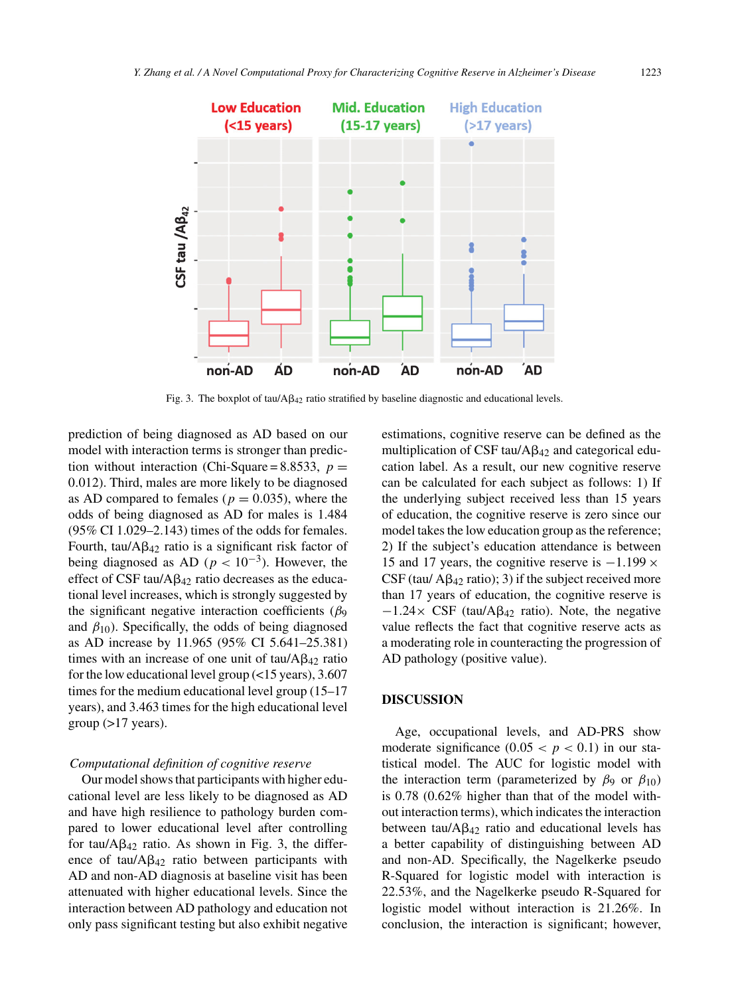

Fig. 3. The boxplot of tau/ $A\beta_{42}$  ratio stratified by baseline diagnostic and educational levels.

prediction of being diagnosed as AD based on our model with interaction terms is stronger than prediction without interaction (Chi-Square = 8.8533,  $p =$ 0*.*012). Third, males are more likely to be diagnosed as AD compared to females ( $p = 0.035$ ), where the odds of being diagnosed as AD for males is 1.484 (95% CI 1.029–2.143) times of the odds for females. Fourth, tau/ $A\beta_{42}$  ratio is a significant risk factor of being diagnosed as AD ( $p < 10^{-3}$ ). However, the effect of CSF tau/ $A\beta_{42}$  ratio decreases as the educational level increases, which is strongly suggested by the significant negative interaction coefficients (*β*<sub>9</sub> and  $\beta_{10}$ ). Specifically, the odds of being diagnosed as AD increase by 11.965 (95% CI 5.641–25.381) times with an increase of one unit of  $tau/Ap_{42}$  ratio for the low educational level group (<15 years), 3.607 times for the medium educational level group (15–17 years), and 3.463 times for the high educational level  $group (>17 years)$ .

## *Computational definition of cognitive reserve*

Our model shows that participants with higher educational level are less likely to be diagnosed as AD and have high resilience to pathology burden compared to lower educational level after controlling for tau/ $AB_{42}$  ratio. As shown in Fig. 3, the difference of tau/ $A\beta_{42}$  ratio between participants with AD and non-AD diagnosis at baseline visit has been attenuated with higher educational levels. Since the interaction between AD pathology and education not only pass significant testing but also exhibit negative estimations, cognitive reserve can be defined as the multiplication of CSF tau/ $A\beta_{42}$  and categorical education label. As a result, our new cognitive reserve can be calculated for each subject as follows: 1) If the underlying subject received less than 15 years of education, the cognitive reserve is zero since our model takes the low education group as the reference; 2) If the subject's education attendance is between 15 and 17 years, the cognitive reserve is −1*.*199 × CSF (tau/  $\text{A}\beta_{42}$  ratio); 3) if the subject received more than 17 years of education, the cognitive reserve is  $-1.24 \times \text{CSF}$  (tau/A $\beta_{42}$  ratio). Note, the negative value reflects the fact that cognitive reserve acts as a moderating role in counteracting the progression of AD pathology (positive value).

## **DISCUSSION**

Age, occupational levels, and AD-PRS show moderate significance  $(0.05 < p < 0.1)$  in our statistical model. The AUC for logistic model with the interaction term (parameterized by  $\beta_9$  or  $\beta_{10}$ ) is 0.78 (0.62% higher than that of the model without interaction terms), which indicates the interaction between tau/ $A\beta_{42}$  ratio and educational levels has a better capability of distinguishing between AD and non-AD. Specifically, the Nagelkerke pseudo R-Squared for logistic model with interaction is 22.53%, and the Nagelkerke pseudo R-Squared for logistic model without interaction is 21.26%. In conclusion, the interaction is significant; however,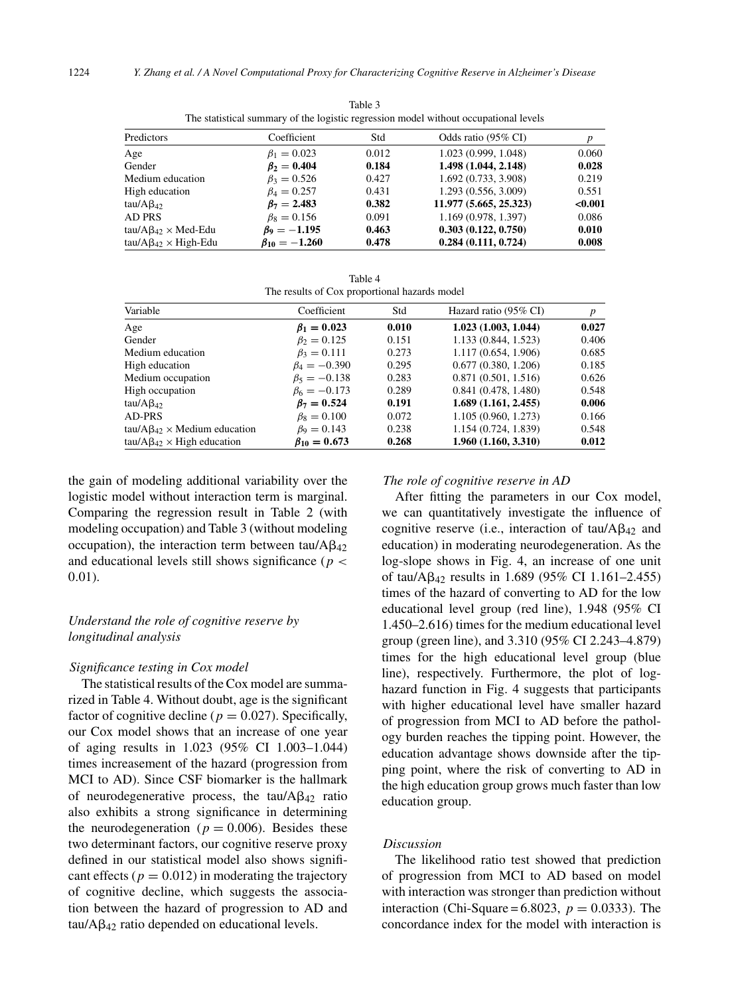| The statistical summary of the logistic regression model without occupational levels |                       |       |                        |         |  |
|--------------------------------------------------------------------------------------|-----------------------|-------|------------------------|---------|--|
| Predictors                                                                           | Coefficient           | Std   | Odds ratio (95% CI)    |         |  |
| Age                                                                                  | $\beta_1 = 0.023$     | 0.012 | 1.023 (0.999, 1.048)   | 0.060   |  |
| Gender                                                                               | $\beta_2 = 0.404$     | 0.184 | 1.498 (1.044, 2.148)   | 0.028   |  |
| Medium education                                                                     | $\beta_3 = 0.526$     | 0.427 | 1.692 (0.733, 3.908)   | 0.219   |  |
| High education                                                                       | $\beta_4 = 0.257$     | 0.431 | 1.293 (0.556, 3.009)   | 0.551   |  |
| tau/A $\beta_{42}$                                                                   | $\beta_7 = 2.483$     | 0.382 | 11.977 (5.665, 25.323) | < 0.001 |  |
| <b>AD PRS</b>                                                                        | $\beta_8 = 0.156$     | 0.091 | 1.169 (0.978, 1.397)   | 0.086   |  |
| $tau/AB_{42} \times Med-Edu$                                                         | $\beta_9 = -1.195$    | 0.463 | 0.303(0.122, 0.750)    | 0.010   |  |
| $tau/AB_{42} \times High-Edu$                                                        | $\beta_{10} = -1.260$ | 0.478 | 0.284(0.111, 0.724)    | 0.008   |  |

Table 3 The statistical summary of the logistic regression model without occupational levels

|                                               | Table 4 |  |
|-----------------------------------------------|---------|--|
| The results of Cox proportional hazards model |         |  |

|                      |                                  |                      | $\boldsymbol{p}$                             |
|----------------------|----------------------------------|----------------------|----------------------------------------------|
|                      |                                  |                      | 0.027                                        |
| $\beta_2 = 0.125$    | 0.151                            | 1.133(0.844, 1.523)  | 0.406                                        |
| $\beta_3 = 0.111$    | 0.273                            | 1.117 (0.654, 1.906) | 0.685                                        |
| $\beta_4 = -0.390$   | 0.295                            | 0.677(0.380, 1.206)  | 0.185                                        |
| $\beta_5 = -0.138$   | 0.283                            | 0.871(0.501, 1.516)  | 0.626                                        |
| $\beta_6 = -0.173$   | 0.289                            | 0.841(0.478, 1.480)  | 0.548                                        |
| $\beta_7 = 0.524$    | 0.191                            | 1.689(1.161, 2.455)  | 0.006                                        |
| $\beta_8 = 0.100$    | 0.072                            | 1.105 (0.960, 1.273) | 0.166                                        |
| $\beta_9 = 0.143$    | 0.238                            | 1.154 (0.724, 1.839) | 0.548                                        |
| $\beta_{10} = 0.673$ | 0.268                            | 1.960(1.160, 3.310)  | 0.012                                        |
|                      | Coefficient<br>$\beta_1 = 0.023$ | Std<br>0.010         | Hazard ratio (95% CI)<br>1.023(1.003, 1.044) |

the gain of modeling additional variability over the logistic model without interaction term is marginal. Comparing the regression result in Table 2 (with modeling occupation) and Table 3 (without modeling occupation), the interaction term between tau/ $A\beta_{42}$ and educational levels still shows significance (*p <* 0*.*01).

# *Understand the role of cognitive reserve by longitudinal analysis*

#### *Significance testing in Cox model*

The statistical results of the Cox model are summarized in Table 4. Without doubt, age is the significant factor of cognitive decline ( $p = 0.027$ ). Specifically, our Cox model shows that an increase of one year of aging results in 1.023 (95% CI 1.003–1.044) times increasement of the hazard (progression from MCI to AD). Since CSF biomarker is the hallmark of neurodegenerative process, the tau/ $A\beta_{42}$  ratio also exhibits a strong significance in determining the neurodegeneration ( $p = 0.006$ ). Besides these two determinant factors, our cognitive reserve proxy defined in our statistical model also shows significant effects ( $p = 0.012$ ) in moderating the trajectory of cognitive decline, which suggests the association between the hazard of progression to AD and  $tau/Ag_{42}$  ratio depended on educational levels.

#### *The role of cognitive reserve in AD*

After fitting the parameters in our Cox model, we can quantitatively investigate the influence of cognitive reserve (i.e., interaction of  $tau/Ap_{42}$  and education) in moderating neurodegeneration. As the log-slope shows in Fig. 4, an increase of one unit of tau/ $A\beta_{42}$  results in 1.689 (95% CI 1.161-2.455) times of the hazard of converting to AD for the low educational level group (red line), 1.948 (95% CI 1.450–2.616) times for the medium educational level group (green line), and 3.310 (95% CI 2.243–4.879) times for the high educational level group (blue line), respectively. Furthermore, the plot of loghazard function in Fig. 4 suggests that participants with higher educational level have smaller hazard of progression from MCI to AD before the pathology burden reaches the tipping point. However, the education advantage shows downside after the tipping point, where the risk of converting to AD in the high education group grows much faster than low education group.

## *Discussion*

The likelihood ratio test showed that prediction of progression from MCI to AD based on model with interaction was stronger than prediction without interaction (Chi-Square =  $6.8023$ ,  $p = 0.0333$ ). The concordance index for the model with interaction is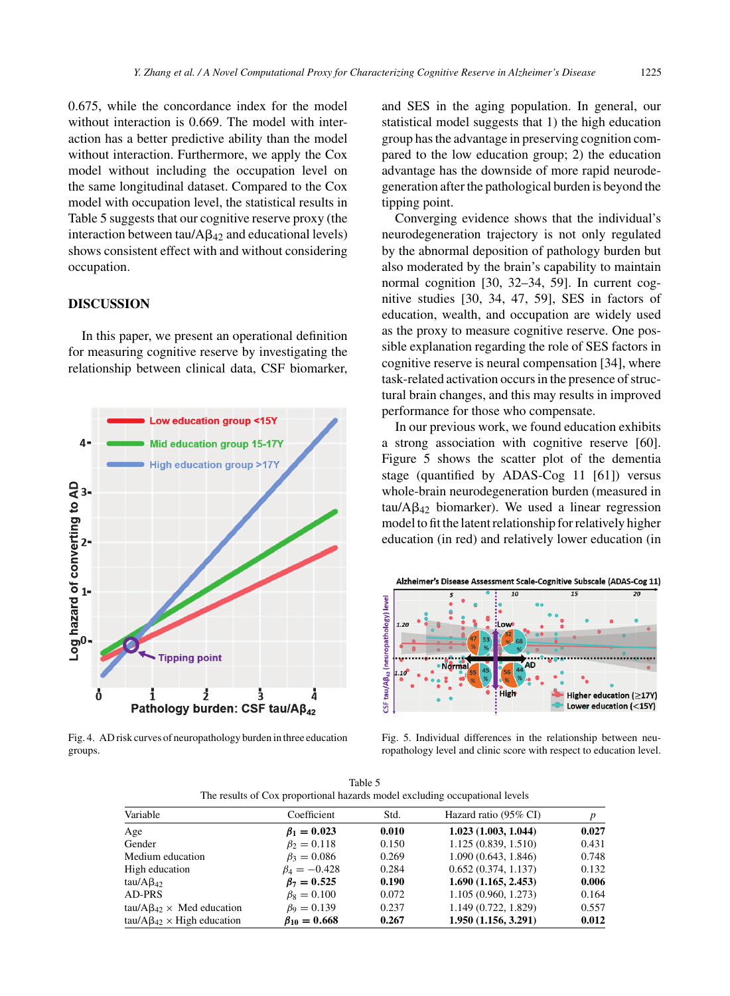0.675, while the concordance index for the model without interaction is 0.669. The model with interaction has a better predictive ability than the model without interaction. Furthermore, we apply the Cox model without including the occupation level on the same longitudinal dataset. Compared to the Cox model with occupation level, the statistical results in Table 5 suggests that our cognitive reserve proxy (the interaction between  $tau/Ag_{42}$  and educational levels) shows consistent effect with and without considering occupation.

## **DISCUSSION**

In this paper, we present an operational definition for measuring cognitive reserve by investigating the relationship between clinical data, CSF biomarker,



Fig. 4. AD risk curves of neuropathology burden in three education groups.

and SES in the aging population. In general, our statistical model suggests that 1) the high education group has the advantage in preserving cognition compared to the low education group; 2) the education advantage has the downside of more rapid neurodegeneration after the pathological burden is beyond the tipping point.

Converging evidence shows that the individual's neurodegeneration trajectory is not only regulated by the abnormal deposition of pathology burden but also moderated by the brain's capability to maintain normal cognition [30, 32–34, 59]. In current cognitive studies [30, 34, 47, 59], SES in factors of education, wealth, and occupation are widely used as the proxy to measure cognitive reserve. One possible explanation regarding the role of SES factors in cognitive reserve is neural compensation [34], where task-related activation occurs in the presence of structural brain changes, and this may results in improved performance for those who compensate.

In our previous work, we found education exhibits a strong association with cognitive reserve [60]. Figure 5 shows the scatter plot of the dementia stage (quantified by ADAS-Cog 11 [61]) versus whole-brain neurodegeneration burden (measured in  $tau/Ag_{42}$  biomarker). We used a linear regression model to fit the latent relationship for relatively higher education (in red) and relatively lower education (in



Fig. 5. Individual differences in the relationship between neuropathology level and clinic score with respect to education level.

| The results of Cox proportional nazards model excluding occupational levels |                      |       |                       |       |  |  |
|-----------------------------------------------------------------------------|----------------------|-------|-----------------------|-------|--|--|
| Variable                                                                    | Coefficient          | Std.  | Hazard ratio (95% CI) | p     |  |  |
| Age                                                                         | $\beta_1 = 0.023$    | 0.010 | 1.023(1.003, 1.044)   | 0.027 |  |  |
| Gender                                                                      | $\beta_2 = 0.118$    | 0.150 | 1.125 (0.839, 1.510)  | 0.431 |  |  |
| Medium education                                                            | $\beta_3 = 0.086$    | 0.269 | 1.090(0.643, 1.846)   | 0.748 |  |  |
| High education                                                              | $\beta_4 = -0.428$   | 0.284 | 0.652(0.374, 1.137)   | 0.132 |  |  |
| tau/A $\beta_{42}$                                                          | $\beta_7 = 0.525$    | 0.190 | 1.690(1.165, 2.453)   | 0.006 |  |  |
| AD-PRS                                                                      | $\beta_8 = 0.100$    | 0.072 | 1.105 (0.960, 1.273)  | 0.164 |  |  |
| tau/A $\beta_{42} \times$ Med education                                     | $\beta_9 = 0.139$    | 0.237 | 1.149 (0.722, 1.829)  | 0.557 |  |  |
| $tau/AB_{42} \times High education$                                         | $\beta_{10} = 0.668$ | 0.267 | 1.950(1.156, 3.291)   | 0.012 |  |  |

Table 5 The results of Cox proportional hazards model excluding occupational levels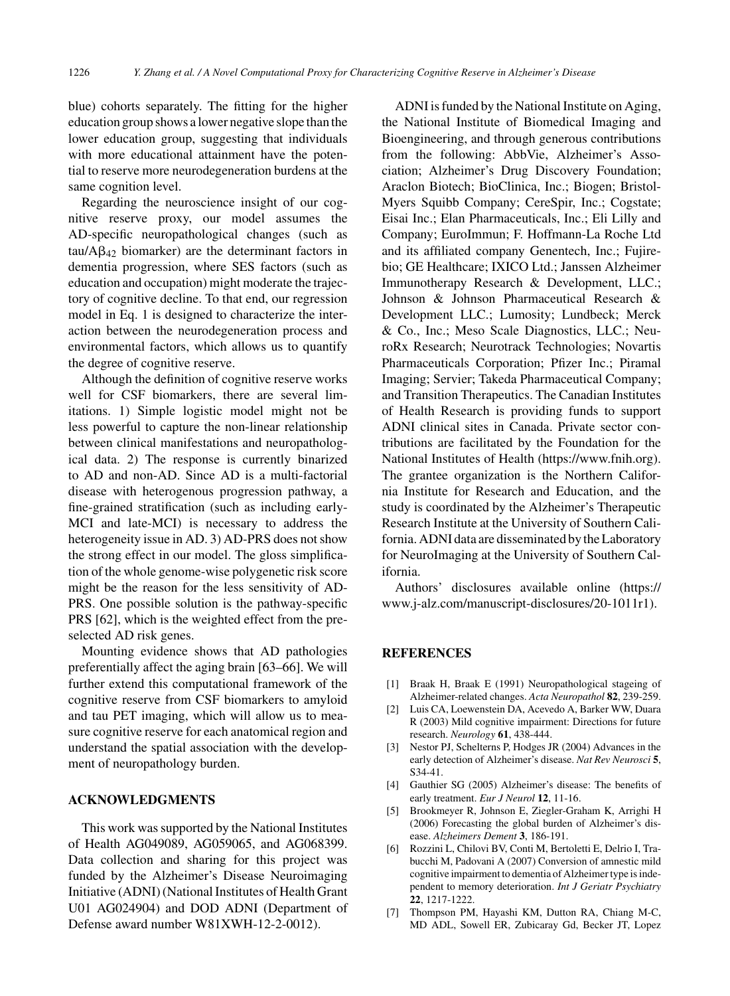blue) cohorts separately. The fitting for the higher education group shows a lower negative slope than the lower education group, suggesting that individuals with more educational attainment have the potential to reserve more neurodegeneration burdens at the same cognition level.

Regarding the neuroscience insight of our cognitive reserve proxy, our model assumes the AD-specific neuropathological changes (such as  $tau/Ag_{42}$  biomarker) are the determinant factors in dementia progression, where SES factors (such as education and occupation) might moderate the trajectory of cognitive decline. To that end, our regression model in Eq. 1 is designed to characterize the interaction between the neurodegeneration process and environmental factors, which allows us to quantify the degree of cognitive reserve.

Although the definition of cognitive reserve works well for CSF biomarkers, there are several limitations. 1) Simple logistic model might not be less powerful to capture the non-linear relationship between clinical manifestations and neuropathological data. 2) The response is currently binarized to AD and non-AD. Since AD is a multi-factorial disease with heterogenous progression pathway, a fine-grained stratification (such as including early-MCI and late-MCI) is necessary to address the heterogeneity issue in AD. 3) AD-PRS does not show the strong effect in our model. The gloss simplification of the whole genome-wise polygenetic risk score might be the reason for the less sensitivity of AD-PRS. One possible solution is the pathway-specific PRS [62], which is the weighted effect from the preselected AD risk genes.

Mounting evidence shows that AD pathologies preferentially affect the aging brain [63–66]. We will further extend this computational framework of the cognitive reserve from CSF biomarkers to amyloid and tau PET imaging, which will allow us to measure cognitive reserve for each anatomical region and understand the spatial association with the development of neuropathology burden.

#### **ACKNOWLEDGMENTS**

This work was supported by the National Institutes of Health AG049089, AG059065, and AG068399. Data collection and sharing for this project was funded by the Alzheimer's Disease Neuroimaging Initiative (ADNI) (National Institutes of Health Grant U01 AG024904) and DOD ADNI (Department of Defense award number W81XWH-12-2-0012).

ADNI is funded by the National Institute on Aging, the National Institute of Biomedical Imaging and Bioengineering, and through generous contributions from the following: AbbVie, Alzheimer's Association; Alzheimer's Drug Discovery Foundation; Araclon Biotech; BioClinica, Inc.; Biogen; Bristol-Myers Squibb Company; CereSpir, Inc.; Cogstate; Eisai Inc.; Elan Pharmaceuticals, Inc.; Eli Lilly and Company; EuroImmun; F. Hoffmann-La Roche Ltd and its affiliated company Genentech, Inc.; Fujirebio; GE Healthcare; IXICO Ltd.; Janssen Alzheimer Immunotherapy Research & Development, LLC.; Johnson & Johnson Pharmaceutical Research & Development LLC.; Lumosity; Lundbeck; Merck & Co., Inc.; Meso Scale Diagnostics, LLC.; NeuroRx Research; Neurotrack Technologies; Novartis Pharmaceuticals Corporation; Pfizer Inc.; Piramal Imaging; Servier; Takeda Pharmaceutical Company; and Transition Therapeutics. The Canadian Institutes of Health Research is providing funds to support ADNI clinical sites in Canada. Private sector contributions are facilitated by the Foundation for the National Institutes of Health (<https://www.fnih.org>). The grantee organization is the Northern California Institute for Research and Education, and the study is coordinated by the Alzheimer's Therapeutic Research Institute at the University of Southern California. ADNI data are disseminated by the Laboratory for NeuroImaging at the University of Southern California.

Authors' disclosures available online [\(https://](https://www.j-alz.com/manuscript-disclosures/20-1011r1) www.j-alz.com/manuscript-disclosures/20-1011r1).

## **REFERENCES**

- [1] Braak H, Braak E (1991) Neuropathological stageing of Alzheimer-related changes. *Acta Neuropathol* **82**, 239-259.
- [2] Luis CA, Loewenstein DA, Acevedo A, Barker WW, Duara R (2003) Mild cognitive impairment: Directions for future research. *Neurology* **61**, 438-444.
- [3] Nestor PJ, Schelterns P, Hodges JR (2004) Advances in the early detection of Alzheimer's disease. *Nat Rev Neurosci* **5**, S34-41.
- [4] Gauthier SG (2005) Alzheimer's disease: The benefits of early treatment. *Eur J Neurol* **12**, 11-16.
- [5] Brookmeyer R, Johnson E, Ziegler-Graham K, Arrighi H (2006) Forecasting the global burden of Alzheimer's disease. *Alzheimers Dement* **3**, 186-191.
- [6] Rozzini L, Chilovi BV, Conti M, Bertoletti E, Delrio I, Trabucchi M, Padovani A (2007) Conversion of amnestic mild cognitive impairment to dementia of Alzheimer type is independent to memory deterioration. *Int J Geriatr Psychiatry* **22**, 1217-1222.
- [7] Thompson PM, Hayashi KM, Dutton RA, Chiang M-C, MD ADL, Sowell ER, Zubicaray Gd, Becker JT, Lopez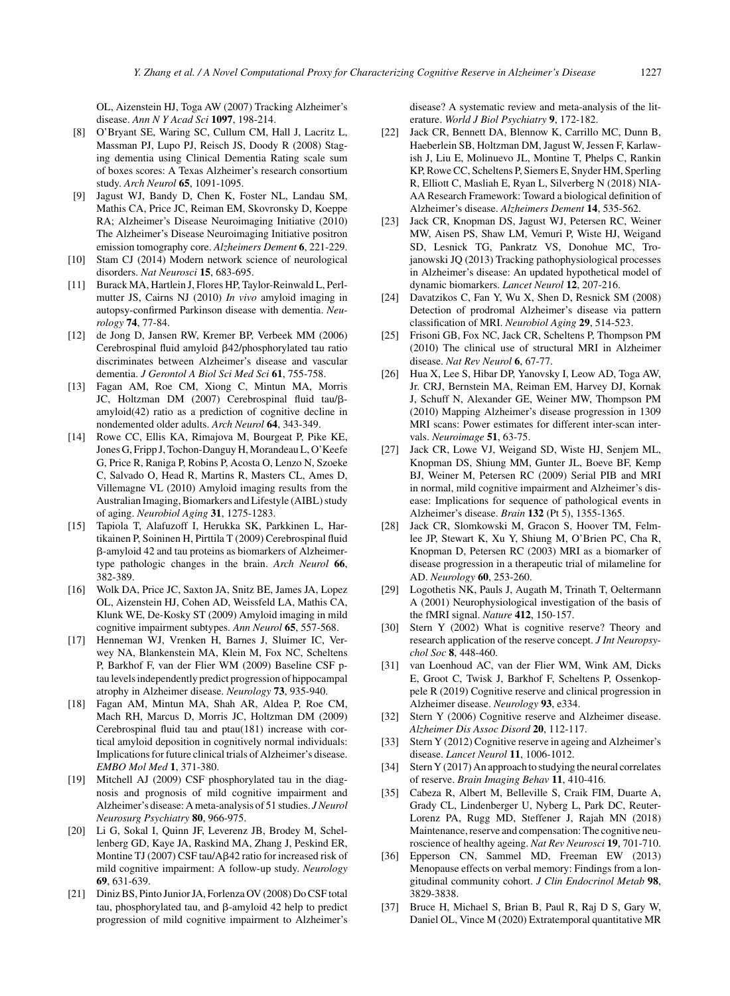OL, Aizenstein HJ, Toga AW (2007) Tracking Alzheimer's disease. *Ann N Y Acad Sci* **1097**, 198-214.

- [8] O'Bryant SE, Waring SC, Cullum CM, Hall J, Lacritz L, Massman PJ, Lupo PJ, Reisch JS, Doody R (2008) Staging dementia using Clinical Dementia Rating scale sum of boxes scores: A Texas Alzheimer's research consortium study. *Arch Neurol* **65**, 1091-1095.
- [9] Jagust WJ, Bandy D, Chen K, Foster NL, Landau SM, Mathis CA, Price JC, Reiman EM, Skovronsky D, Koeppe RA; Alzheimer's Disease Neuroimaging Initiative (2010) The Alzheimer's Disease Neuroimaging Initiative positron emission tomography core. *Alzheimers Dement* **6**, 221-229.
- [10] Stam CJ (2014) Modern network science of neurological disorders. *Nat Neurosci* **15**, 683-695.
- [11] Burack MA, Hartlein J, Flores HP, Taylor-Reinwald L, Perlmutter JS, Cairns NJ (2010) *In vivo* amyloid imaging in autopsy-confirmed Parkinson disease with dementia. *Neurology* **74**, 77-84.
- [12] de Jong D, Jansen RW, Kremer BP, Verbeek MM (2006) Cerebrospinal fluid amyloid  $\beta$ 42/phosphorylated tau ratio discriminates between Alzheimer's disease and vascular dementia. *J Gerontol A Biol Sci Med Sci* **61**, 755-758.
- [13] Fagan AM, Roe CM, Xiong C, Mintun MA, Morris JC, Holtzman DM (2007) Cerebrospinal fluid tau/ßamyloid(42) ratio as a prediction of cognitive decline in nondemented older adults. *Arch Neurol* **64**, 343-349.
- [14] Rowe CC, Ellis KA, Rimajova M, Bourgeat P, Pike KE, Jones G, Fripp J, Tochon-Danguy H, Morandeau L, O'Keefe G, Price R, Raniga P, Robins P, Acosta O, Lenzo N, Szoeke C, Salvado O, Head R, Martins R, Masters CL, Ames D, Villemagne VL (2010) Amyloid imaging results from the Australian Imaging, Biomarkers and Lifestyle (AIBL) study of aging. *Neurobiol Aging* **31**, 1275-1283.
- [15] Tapiola T, Alafuzoff I, Herukka SK, Parkkinen L, Hartikainen P, Soininen H, Pirttila T (2009) Cerebrospinal fluid --amyloid 42 and tau proteins as biomarkers of Alzheimertype pathologic changes in the brain. *Arch Neurol* **66**, 382-389.
- [16] Wolk DA, Price JC, Saxton JA, Snitz BE, James JA, Lopez OL, Aizenstein HJ, Cohen AD, Weissfeld LA, Mathis CA, Klunk WE, De-Kosky ST (2009) Amyloid imaging in mild cognitive impairment subtypes. *Ann Neurol* **65**, 557-568.
- [17] Henneman WJ, Vrenken H, Barnes J, Sluimer IC, Verwey NA, Blankenstein MA, Klein M, Fox NC, Scheltens P, Barkhof F, van der Flier WM (2009) Baseline CSF ptau levels independently predict progression of hippocampal atrophy in Alzheimer disease. *Neurology* **73**, 935-940.
- [18] Fagan AM, Mintun MA, Shah AR, Aldea P, Roe CM, Mach RH, Marcus D, Morris JC, Holtzman DM (2009) Cerebrospinal fluid tau and ptau(181) increase with cortical amyloid deposition in cognitively normal individuals: Implications for future clinical trials of Alzheimer's disease. *EMBO Mol Med* **1**, 371-380.
- [19] Mitchell AJ (2009) CSF phosphorylated tau in the diagnosis and prognosis of mild cognitive impairment and Alzheimer's disease: A meta-analysis of 51 studies. *J Neurol Neurosurg Psychiatry* **80**, 966-975.
- [20] Li G, Sokal I, Quinn JF, Leverenz JB, Brodey M, Schellenberg GD, Kaye JA, Raskind MA, Zhang J, Peskind ER, Montine TJ (2007) CSF tau/Aβ42 ratio for increased risk of mild cognitive impairment: A follow-up study. *Neurology* **69**, 631-639.
- [21] Diniz BS, Pinto Junior JA, Forlenza OV (2008) Do CSF total  $tau$ , phosphorylated tau, and  $\beta$ -amyloid 42 help to predict progression of mild cognitive impairment to Alzheimer's

disease? A systematic review and meta-analysis of the literature. *World J Biol Psychiatry* **9**, 172-182.

- [22] Jack CR, Bennett DA, Blennow K, Carrillo MC, Dunn B, Haeberlein SB, Holtzman DM, Jagust W, Jessen F, Karlawish J, Liu E, Molinuevo JL, Montine T, Phelps C, Rankin KP, Rowe CC, Scheltens P, Siemers E, Snyder HM, Sperling R, Elliott C, Masliah E, Ryan L, Silverberg N (2018) NIA-AA Research Framework: Toward a biological definition of Alzheimer's disease. *Alzheimers Dement* **14**, 535-562.
- [23] Jack CR, Knopman DS, Jagust WJ, Petersen RC, Weiner MW, Aisen PS, Shaw LM, Vemuri P, Wiste HJ, Weigand SD, Lesnick TG, Pankratz VS, Donohue MC, Trojanowski JQ (2013) Tracking pathophysiological processes in Alzheimer's disease: An updated hypothetical model of dynamic biomarkers. *Lancet Neurol* **12**, 207-216.
- [24] Davatzikos C, Fan Y, Wu X, Shen D, Resnick SM (2008) Detection of prodromal Alzheimer's disease via pattern classification of MRI. *Neurobiol Aging* **29**, 514-523.
- [25] Frisoni GB, Fox NC, Jack CR, Scheltens P, Thompson PM (2010) The clinical use of structural MRI in Alzheimer disease. *Nat Rev Neurol* **6**, 67-77.
- [26] Hua X, Lee S, Hibar DP, Yanovsky I, Leow AD, Toga AW, Jr. CRJ, Bernstein MA, Reiman EM, Harvey DJ, Kornak J, Schuff N, Alexander GE, Weiner MW, Thompson PM (2010) Mapping Alzheimer's disease progression in 1309 MRI scans: Power estimates for different inter-scan intervals. *Neuroimage* **51**, 63-75.
- [27] Jack CR, Lowe VJ, Weigand SD, Wiste HJ, Senjem ML, Knopman DS, Shiung MM, Gunter JL, Boeve BF, Kemp BJ, Weiner M, Petersen RC (2009) Serial PIB and MRI in normal, mild cognitive impairment and Alzheimer's disease: Implications for sequence of pathological events in Alzheimer's disease. *Brain* **132** (Pt 5), 1355-1365.
- [28] Jack CR, Slomkowski M, Gracon S, Hoover TM, Felmlee JP, Stewart K, Xu Y, Shiung M, O'Brien PC, Cha R, Knopman D, Petersen RC (2003) MRI as a biomarker of disease progression in a therapeutic trial of milameline for AD. *Neurology* **60**, 253-260.
- [29] Logothetis NK, Pauls J, Augath M, Trinath T, Oeltermann A (2001) Neurophysiological investigation of the basis of the fMRI signal. *Nature* **412**, 150-157.
- [30] Stern Y (2002) What is cognitive reserve? Theory and research application of the reserve concept. *J Int Neuropsychol Soc* **8**, 448-460.
- [31] van Loenhoud AC, van der Flier WM, Wink AM, Dicks E, Groot C, Twisk J, Barkhof F, Scheltens P, Ossenkoppele R (2019) Cognitive reserve and clinical progression in Alzheimer disease. *Neurology* **93**, e334.
- [32] Stern Y (2006) Cognitive reserve and Alzheimer disease. *Alzheimer Dis Assoc Disord* **20**, 112-117.
- [33] Stern Y (2012) Cognitive reserve in ageing and Alzheimer's disease. *Lancet Neurol* **11**, 1006-1012.
- [34] Stern Y (2017) An approach to studying the neural correlates of reserve. *Brain Imaging Behav* **11**, 410-416.
- [35] Cabeza R, Albert M, Belleville S, Craik FIM, Duarte A, Grady CL, Lindenberger U, Nyberg L, Park DC, Reuter-Lorenz PA, Rugg MD, Steffener J, Rajah MN (2018) Maintenance, reserve and compensation: The cognitive neuroscience of healthy ageing. *Nat Rev Neurosci* **19**, 701-710.
- [36] Epperson CN, Sammel MD, Freeman EW (2013) Menopause effects on verbal memory: Findings from a longitudinal community cohort. *J Clin Endocrinol Metab* **98**, 3829-3838.
- [37] Bruce H, Michael S, Brian B, Paul R, Raj D S, Gary W, Daniel OL, Vince M (2020) Extratemporal quantitative MR